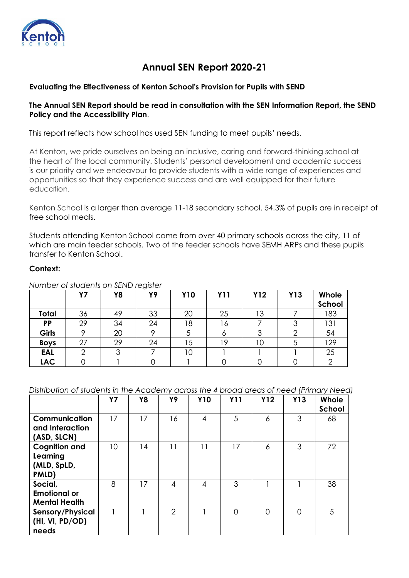

# **Annual SEN Report 2020-21**

## **Evaluating the Effectiveness of Kenton School's Provision for Pupils with SEND**

## **The Annual SEN Report should be read in consultation with the SEN Information Report, the SEND Policy and the Accessibility Plan**.

This report reflects how school has used SEN funding to meet pupils' needs.

At Kenton, we pride ourselves on being an inclusive, caring and forward-thinking school at the heart of the local community. Students' personal development and academic success is our priority and we endeavour to provide students with a wide range of experiences and opportunities so that they experience success and are well equipped for their future education.

Kenton School is a larger than average 11-18 secondary school. 54.3% of pupils are in receipt of free school meals.

Students attending Kenton School come from over 40 primary schools across the city, 11 of which are main feeder schools. Two of the feeder schools have SEMH ARPs and these pupils transfer to Kenton School.

#### **Context:**

|              | <b>Y7</b> | Y8 | . - - - - - -<br>Y9 | <b>Y10</b>     | <b>Y11</b> | <b>Y12</b> | Y13 | Whole<br>School |
|--------------|-----------|----|---------------------|----------------|------------|------------|-----|-----------------|
| Total        | 36        | 49 | 33                  | 20             | 25         | Ι3         |     | 183             |
| <b>PP</b>    | 29        | 34 | 24                  | 18             | ة ،        |            |     | 131             |
| <b>Girls</b> | Ω         | 20 |                     |                |            | ⌒          |     | 54              |
| <b>Boys</b>  | 27        | 29 | 24                  | $\overline{5}$ | 1 Q        | ıс         |     | 129             |
| <b>EAL</b>   |           |    |                     | ۱О             |            |            |     | 25              |
| <b>LAC</b>   |           |    |                     |                |            |            |     |                 |

*Number of students on SEND register*

*Distribution of students in the Academy across the 4 broad areas of need (Primary Need)*

|                                                          | <b>Y7</b> | Y8 | Y9             | <b>Y10</b>     | <b>Y11</b> | <b>Y12</b>     | <b>Y13</b> | Whole<br>School |
|----------------------------------------------------------|-----------|----|----------------|----------------|------------|----------------|------------|-----------------|
| Communication<br>and Interaction<br>(ASD, SLCN)          | 17        | 17 | 16             | $\overline{4}$ | 5          | 6              | 3          | 68              |
| <b>Cognition and</b><br>Learning<br>(MLD, SpLD,<br>PMLD) | 10        | 14 | 11             | 11             | 17         | 6              | 3          | 72              |
| Social,<br><b>Emotional or</b><br><b>Mental Health</b>   | 8         | 17 | 4              | 4              | 3          |                |            | 38              |
| Sensory/Physical<br>(HI, VI, PD/OD)<br>needs             |           |    | $\overline{2}$ |                | $\Omega$   | $\overline{0}$ | ∩          | 5               |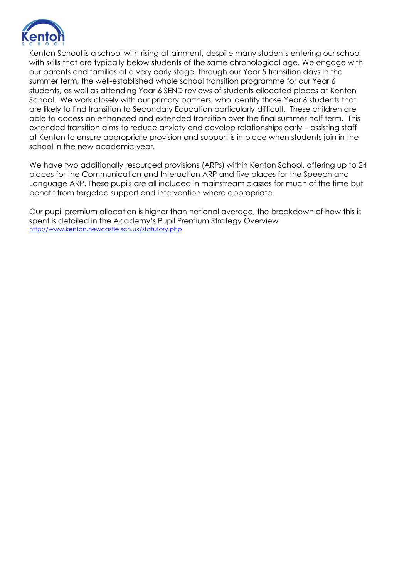

Kenton School is a school with rising attainment, despite many students entering our school with skills that are typically below students of the same chronological age. We engage with our parents and families at a very early stage, through our Year 5 transition days in the summer term, the well-established whole school transition programme for our Year 6 students, as well as attending Year 6 SEND reviews of students allocated places at Kenton School. We work closely with our primary partners, who identify those Year 6 students that are likely to find transition to Secondary Education particularly difficult. These children are able to access an enhanced and extended transition over the final summer half term. This extended transition aims to reduce anxiety and develop relationships early – assisting staff at Kenton to ensure appropriate provision and support is in place when students join in the school in the new academic year.

We have two additionally resourced provisions (ARPs) within Kenton School, offering up to 24 places for the Communication and Interaction ARP and five places for the Speech and Language ARP. These pupils are all included in mainstream classes for much of the time but benefit from targeted support and intervention where appropriate.

Our pupil premium allocation is higher than national average, the breakdown of how this is spent is detailed in the Academy's Pupil Premium Strategy Overview <http://www.kenton.newcastle.sch.uk/statutory.php>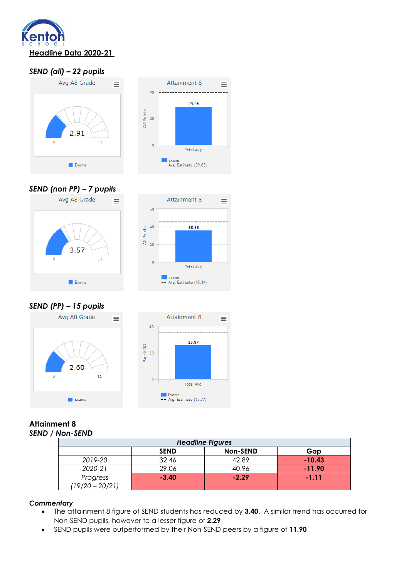

## *SEND (all) – 22 pupils*





## *SEND (non PP) – 7 pupils*





*SEND (PP) – 15 pupils*



#### **Attainment 8**  *SEND / Non-SEND*

| <b>Headline Figures</b>               |         |         |          |  |  |  |  |
|---------------------------------------|---------|---------|----------|--|--|--|--|
| <b>Non-SEND</b><br><b>SEND</b><br>Gap |         |         |          |  |  |  |  |
| 2019-20                               | 32.46   | 42.89   | $-10.43$ |  |  |  |  |
| 2020-21                               | 29.06   | 40.96   | $-11.90$ |  |  |  |  |
| Progress<br>$(19/20 - 20/21)$         | $-3.40$ | $-2.29$ | $-1.11$  |  |  |  |  |

 $\equiv$ 

#### *Commentary*

- The attainment 8 figure of SEND students has reduced by **3.40**. A similar trend has occurred for Non-SEND pupils, however to a lesser figure of **2.29**
- SEND pupils were outperformed by their Non-SEND peers by a figure of **11.90**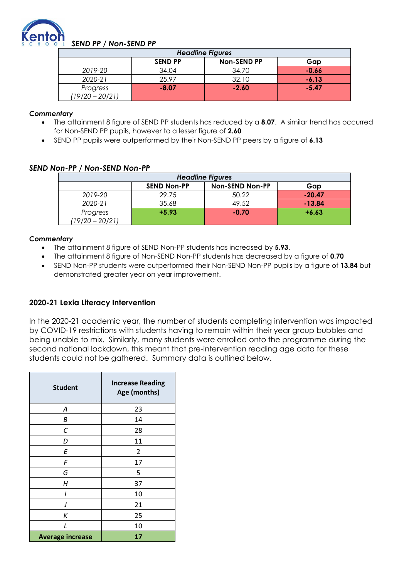

## *SEND PP / Non-SEND PP*

| <b>Headline Figures</b>       |                |                    |         |  |  |  |  |
|-------------------------------|----------------|--------------------|---------|--|--|--|--|
|                               | <b>SEND PP</b> | <b>Non-SEND PP</b> | Gap     |  |  |  |  |
| 2019-20                       | 34.04          | 34.70              | $-0.66$ |  |  |  |  |
| 2020-21                       | 25.97          | 32.10              | $-6.13$ |  |  |  |  |
| Progress<br>$(19/20 - 20/21)$ | $-8.07$        | $-2.60$            | $-5.47$ |  |  |  |  |

#### *Commentary*

- The attainment 8 figure of SEND PP students has reduced by a **8.07**. A similar trend has occurred for Non-SEND PP pupils, however to a lesser figure of **2.60**
- SEND PP pupils were outperformed by their Non-SEND PP peers by a figure of **6.13**

## *SEND Non-PP / Non-SEND Non-PP*

| <b>Headline Figures</b>                             |         |         |          |  |  |  |  |
|-----------------------------------------------------|---------|---------|----------|--|--|--|--|
| <b>Non-SEND Non-PP</b><br><b>SEND Non-PP</b><br>Gap |         |         |          |  |  |  |  |
| 2019-20                                             | 29.75   | 50.22   | $-20.47$ |  |  |  |  |
| 2020-21                                             | 35.68   | 49.52   | $-13.84$ |  |  |  |  |
| Progress<br>$(19/20 - 20/21)$                       | $+5.93$ | $-0.70$ | $+6.63$  |  |  |  |  |

#### *Commentary*

- The attainment 8 figure of SEND Non-PP students has increased by **5.93**.
- The attainment 8 figure of Non-SEND Non-PP students has decreased by a figure of **0.70**
- SEND Non-PP students were outperformed their Non-SEND Non-PP pupils by a figure of **13.84** but demonstrated greater year on year improvement.

## **2020-21 Lexia Literacy Intervention**

In the 2020-21 academic year, the number of students completing intervention was impacted by COVID-19 restrictions with students having to remain within their year group bubbles and being unable to mix. Similarly, many students were enrolled onto the programme during the second national lockdown, this meant that pre-intervention reading age data for these students could not be gathered. Summary data is outlined below.

| <b>Student</b>          | <b>Increase Reading</b><br>Age (months) |  |  |
|-------------------------|-----------------------------------------|--|--|
| Α                       | 23                                      |  |  |
| Β                       | 14                                      |  |  |
| С                       | 28                                      |  |  |
| D                       | 11<br>2<br>17<br>5                      |  |  |
| E                       |                                         |  |  |
| F                       |                                         |  |  |
| G                       |                                         |  |  |
| Η                       | 37                                      |  |  |
|                         | 10                                      |  |  |
| $\prime$                | 21                                      |  |  |
| К                       | 25                                      |  |  |
| $\mathbf{I}$            | 10                                      |  |  |
| <b>Average increase</b> | 17                                      |  |  |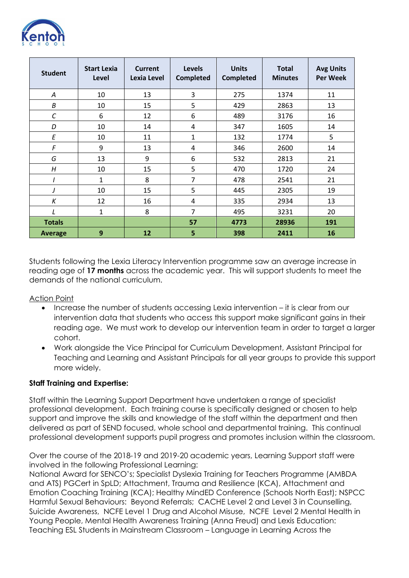

| <b>Student</b> | <b>Start Lexia</b><br>Level | Current<br>Lexia Level | <b>Levels</b><br><b>Completed</b> | <b>Units</b><br><b>Completed</b> | <b>Total</b><br><b>Minutes</b> | <b>Avg Units</b><br><b>Per Week</b> |
|----------------|-----------------------------|------------------------|-----------------------------------|----------------------------------|--------------------------------|-------------------------------------|
| A              | 10                          | 13                     | 3                                 | 275                              | 1374                           | 11                                  |
| B              | 10                          | 15                     | 5                                 | 429                              | 2863                           | 13                                  |
| C              | 6                           | 12                     | 6                                 | 489                              | 3176                           | 16                                  |
| D              | 10                          | 14                     | 4                                 | 347                              | 1605                           | 14                                  |
| E              | 10                          | 11                     | 1                                 | 132                              | 1774                           | 5                                   |
| F              | 9                           | 13                     | 4                                 | 346                              | 2600                           | 14                                  |
| G              | 13                          | 9                      | 6                                 | 532                              | 2813                           | 21                                  |
| H              | 10                          | 15                     | 5                                 | 470                              | 1720                           | 24                                  |
|                | $\mathbf{1}$                | 8                      | 7                                 | 478                              | 2541                           | 21                                  |
|                | 10                          | 15                     | 5                                 | 445                              | 2305                           | 19                                  |
| К              | 12                          | 16                     | 4                                 | 335                              | 2934                           | 13                                  |
| L              | $\mathbf{1}$                | 8                      | 7                                 | 495                              | 3231                           | 20                                  |
| <b>Totals</b>  |                             |                        | 57                                | 4773                             | 28936                          | 191                                 |
| Average        | 9                           | 12                     | 5                                 | 398                              | 2411                           | 16                                  |

Students following the Lexia Literacy Intervention programme saw an average increase in reading age of **17 months** across the academic year. This will support students to meet the demands of the national curriculum.

Action Point

- Increase the number of students accessing Lexia intervention it is clear from our intervention data that students who access this support make significant gains in their reading age. We must work to develop our intervention team in order to target a larger cohort.
- Work alongside the Vice Principal for Curriculum Development, Assistant Principal for Teaching and Learning and Assistant Principals for all year groups to provide this support more widely.

## **Staff Training and Expertise:**

Staff within the Learning Support Department have undertaken a range of specialist professional development. Each training course is specifically designed or chosen to help support and improve the skills and knowledge of the staff within the department and then delivered as part of SEND focused, whole school and departmental training. This continual professional development supports pupil progress and promotes inclusion within the classroom.

Over the course of the 2018-19 and 2019-20 academic years, Learning Support staff were involved in the following Professional Learning:

National Award for SENCO's; Specialist Dyslexia Training for Teachers Programme (AMBDA and ATS) PGCert in SpLD; Attachment, Trauma and Resilience (KCA), Attachment and Emotion Coaching Training (KCA); Healthy MindED Conference (Schools North East); NSPCC Harmful Sexual Behaviours: Beyond Referrals; CACHE Level 2 and Level 3 in Counselling, Suicide Awareness, NCFE Level 1 Drug and Alcohol Misuse, NCFE Level 2 Mental Health in Young People, Mental Health Awareness Training (Anna Freud) and Lexis Education: Teaching ESL Students in Mainstream Classroom – Language in Learning Across the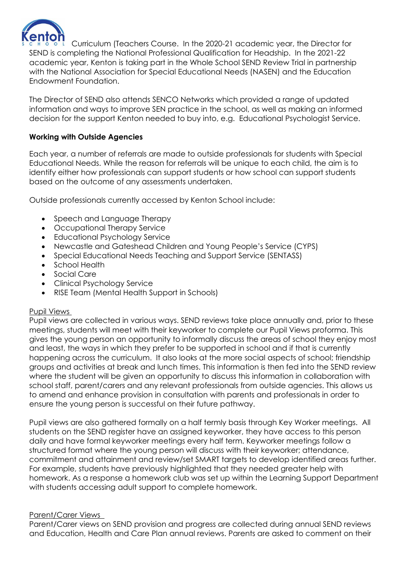

Curriculum (Teachers Course. In the 2020-21 academic year, the Director for SEND is completing the National Professional Qualification for Headship. In the 2021-22 academic year, Kenton is taking part in the Whole School SEND Review Trial in partnership with the National Association for Special Educational Needs (NASEN) and the Education Endowment Foundation.

The Director of SEND also attends SENCO Networks which provided a range of updated information and ways to improve SEN practice in the school, as well as making an informed decision for the support Kenton needed to buy into, e.g. Educational Psychologist Service.

## **Working with Outside Agencies**

Each year, a number of referrals are made to outside professionals for students with Special Educational Needs. While the reason for referrals will be unique to each child, the aim is to identify either how professionals can support students or how school can support students based on the outcome of any assessments undertaken.

Outside professionals currently accessed by Kenton School include:

- Speech and Language Therapy
- Occupational Therapy Service
- Educational Psychology Service
- Newcastle and Gateshead Children and Young People's Service (CYPS)
- Special Educational Needs Teaching and Support Service (SENTASS)
- School Health
- Social Care
- Clinical Psychology Service
- RISE Team (Mental Health Support in Schools)

#### Pupil Views

Pupil views are collected in various ways. SEND reviews take place annually and, prior to these meetings, students will meet with their keyworker to complete our Pupil Views proforma. This gives the young person an opportunity to informally discuss the areas of school they enjoy most and least, the ways in which they prefer to be supported in school and if that is currently happening across the curriculum. It also looks at the more social aspects of school; friendship groups and activities at break and lunch times. This information is then fed into the SEND review where the student will be given an opportunity to discuss this information in collaboration with school staff, parent/carers and any relevant professionals from outside agencies. This allows us to amend and enhance provision in consultation with parents and professionals in order to ensure the young person is successful on their future pathway.

Pupil views are also gathered formally on a half termly basis through Key Worker meetings. All students on the SEND register have an assigned keyworker, they have access to this person daily and have formal keyworker meetings every half term. Keyworker meetings follow a structured format where the young person will discuss with their keyworker; attendance, commitment and attainment and review/set SMART targets to develop identified areas further. For example, students have previously highlighted that they needed greater help with homework. As a response a homework club was set up within the Learning Support Department with students accessing adult support to complete homework.

#### Parent/Carer Views

Parent/Carer views on SEND provision and progress are collected during annual SEND reviews and Education, Health and Care Plan annual reviews. Parents are asked to comment on their